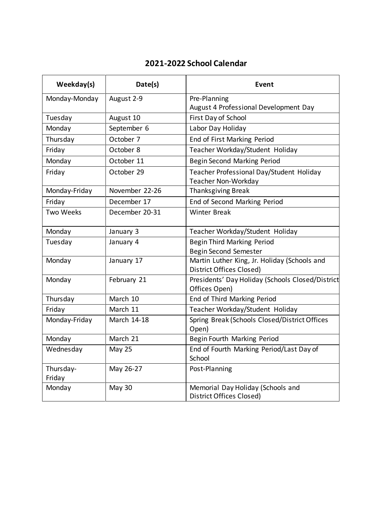## **2021-2022 School Calendar**

| Weekday(s)          | Date(s)        | Event                                                                           |
|---------------------|----------------|---------------------------------------------------------------------------------|
| Monday-Monday       | August 2-9     | Pre-Planning                                                                    |
|                     |                | August 4 Professional Development Day                                           |
| Tuesday             | August 10      | First Day of School                                                             |
| Monday              | September 6    | Labor Day Holiday                                                               |
| Thursday            | October 7      | End of First Marking Period                                                     |
| Friday              | October 8      | Teacher Workday/Student Holiday                                                 |
| Monday              | October 11     | <b>Begin Second Marking Period</b>                                              |
| Friday              | October 29     | Teacher Professional Day/Student Holiday<br>Teacher Non-Workday                 |
| Monday-Friday       | November 22-26 | <b>Thanksgiving Break</b>                                                       |
| Friday              | December 17    | End of Second Marking Period                                                    |
| <b>Two Weeks</b>    | December 20-31 | <b>Winter Break</b>                                                             |
| Monday              | January 3      | Teacher Workday/Student Holiday                                                 |
| Tuesday             | January 4      | <b>Begin Third Marking Period</b>                                               |
|                     |                | <b>Begin Second Semester</b>                                                    |
| Monday              | January 17     | Martin Luther King, Jr. Holiday (Schools and<br><b>District Offices Closed)</b> |
| Monday              | February 21    | Presidents' Day Holiday (Schools Closed/District<br>Offices Open)               |
| Thursday            | March 10       | End of Third Marking Period                                                     |
| Friday              | March 11       | Teacher Workday/Student Holiday                                                 |
| Monday-Friday       | March 14-18    | Spring Break (Schools Closed/District Offices<br>Open)                          |
| Monday              | March 21       | Begin Fourth Marking Period                                                     |
| Wednesday           | <b>May 25</b>  | End of Fourth Marking Period/Last Day of<br>School                              |
| Thursday-<br>Friday | May 26-27      | Post-Planning                                                                   |
| Monday              | May 30         | Memorial Day Holiday (Schools and<br><b>District Offices Closed)</b>            |